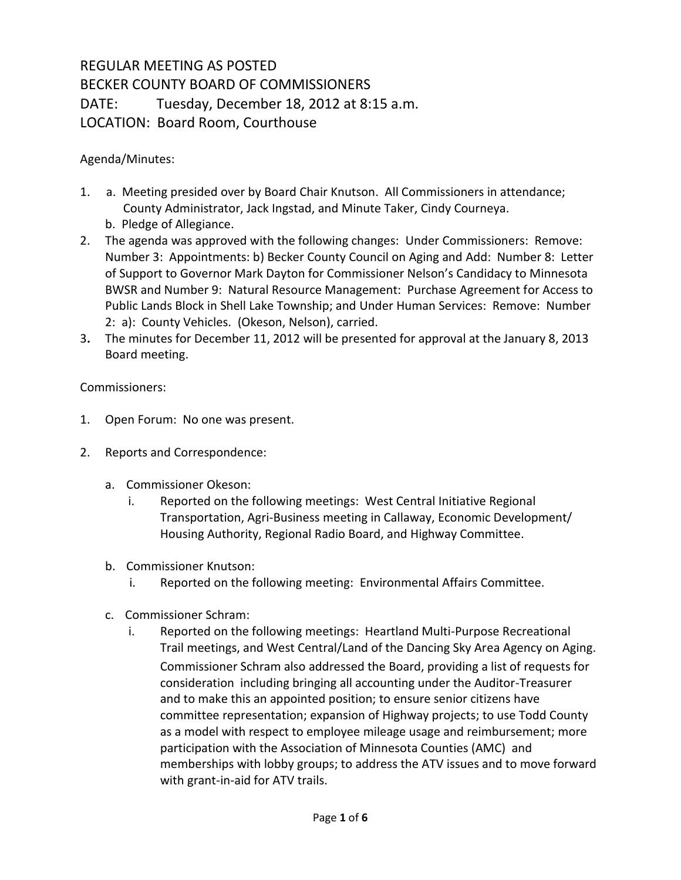## REGULAR MEETING AS POSTED BECKER COUNTY BOARD OF COMMISSIONERS DATE: Tuesday, December 18, 2012 at 8:15 a.m. LOCATION: Board Room, Courthouse

Agenda/Minutes:

- 1. a. Meeting presided over by Board Chair Knutson. All Commissioners in attendance; County Administrator, Jack Ingstad, and Minute Taker, Cindy Courneya. b. Pledge of Allegiance.
- 2. The agenda was approved with the following changes: Under Commissioners: Remove: Number 3: Appointments: b) Becker County Council on Aging and Add: Number 8: Letter of Support to Governor Mark Dayton for Commissioner Nelson's Candidacy to Minnesota BWSR and Number 9: Natural Resource Management: Purchase Agreement for Access to Public Lands Block in Shell Lake Township; and Under Human Services: Remove: Number 2: a): County Vehicles. (Okeson, Nelson), carried.
- 3**.** The minutes for December 11, 2012 will be presented for approval at the January 8, 2013 Board meeting.

Commissioners:

- 1. Open Forum: No one was present.
- 2. Reports and Correspondence:
	- a. Commissioner Okeson:
		- i. Reported on the following meetings: West Central Initiative Regional Transportation, Agri-Business meeting in Callaway, Economic Development/ Housing Authority, Regional Radio Board, and Highway Committee.
	- b. Commissioner Knutson:
		- i. Reported on the following meeting: Environmental Affairs Committee.
	- c. Commissioner Schram:
		- i. Reported on the following meetings: Heartland Multi-Purpose Recreational Trail meetings, and West Central/Land of the Dancing Sky Area Agency on Aging. Commissioner Schram also addressed the Board, providing a list of requests for consideration including bringing all accounting under the Auditor-Treasurer and to make this an appointed position; to ensure senior citizens have committee representation; expansion of Highway projects; to use Todd County as a model with respect to employee mileage usage and reimbursement; more participation with the Association of Minnesota Counties (AMC) and memberships with lobby groups; to address the ATV issues and to move forward with grant-in-aid for ATV trails.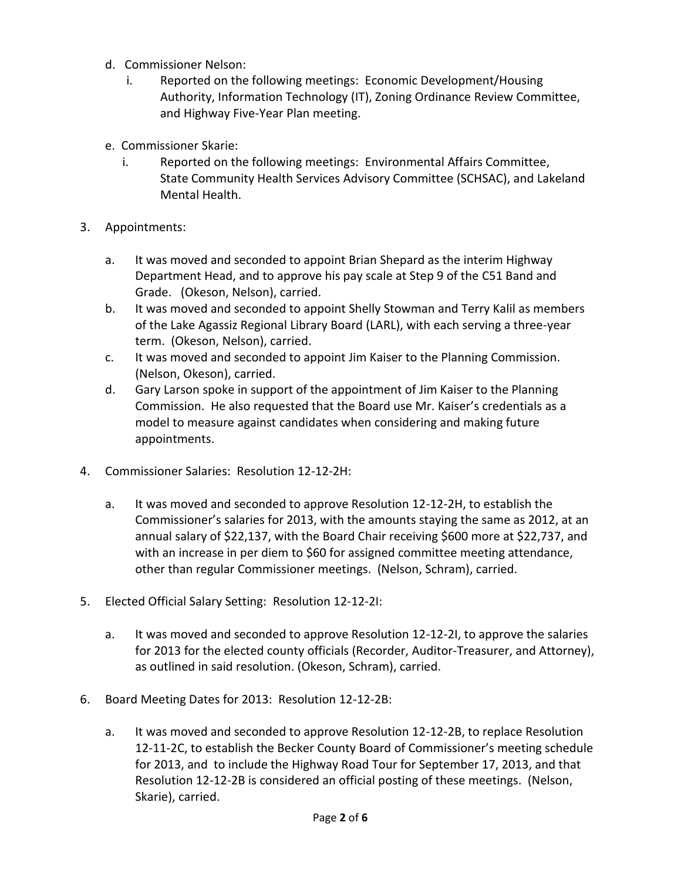- d. Commissioner Nelson:
	- i. Reported on the following meetings: Economic Development/Housing Authority, Information Technology (IT), Zoning Ordinance Review Committee, and Highway Five-Year Plan meeting.
- e. Commissioner Skarie:
	- i. Reported on the following meetings: Environmental Affairs Committee, State Community Health Services Advisory Committee (SCHSAC), and Lakeland Mental Health.
- 3. Appointments:
	- a. It was moved and seconded to appoint Brian Shepard as the interim Highway Department Head, and to approve his pay scale at Step 9 of the C51 Band and Grade. (Okeson, Nelson), carried.
	- b. It was moved and seconded to appoint Shelly Stowman and Terry Kalil as members of the Lake Agassiz Regional Library Board (LARL), with each serving a three-year term. (Okeson, Nelson), carried.
	- c. It was moved and seconded to appoint Jim Kaiser to the Planning Commission. (Nelson, Okeson), carried.
	- d. Gary Larson spoke in support of the appointment of Jim Kaiser to the Planning Commission. He also requested that the Board use Mr. Kaiser's credentials as a model to measure against candidates when considering and making future appointments.
- 4. Commissioner Salaries: Resolution 12-12-2H:
	- a. It was moved and seconded to approve Resolution 12-12-2H, to establish the Commissioner's salaries for 2013, with the amounts staying the same as 2012, at an annual salary of \$22,137, with the Board Chair receiving \$600 more at \$22,737, and with an increase in per diem to \$60 for assigned committee meeting attendance, other than regular Commissioner meetings. (Nelson, Schram), carried.
- 5. Elected Official Salary Setting: Resolution 12-12-2I:
	- a. It was moved and seconded to approve Resolution 12-12-2I, to approve the salaries for 2013 for the elected county officials (Recorder, Auditor-Treasurer, and Attorney), as outlined in said resolution. (Okeson, Schram), carried.
- 6. Board Meeting Dates for 2013: Resolution 12-12-2B:
	- a. It was moved and seconded to approve Resolution 12-12-2B, to replace Resolution 12-11-2C, to establish the Becker County Board of Commissioner's meeting schedule for 2013, and to include the Highway Road Tour for September 17, 2013, and that Resolution 12-12-2B is considered an official posting of these meetings. (Nelson, Skarie), carried.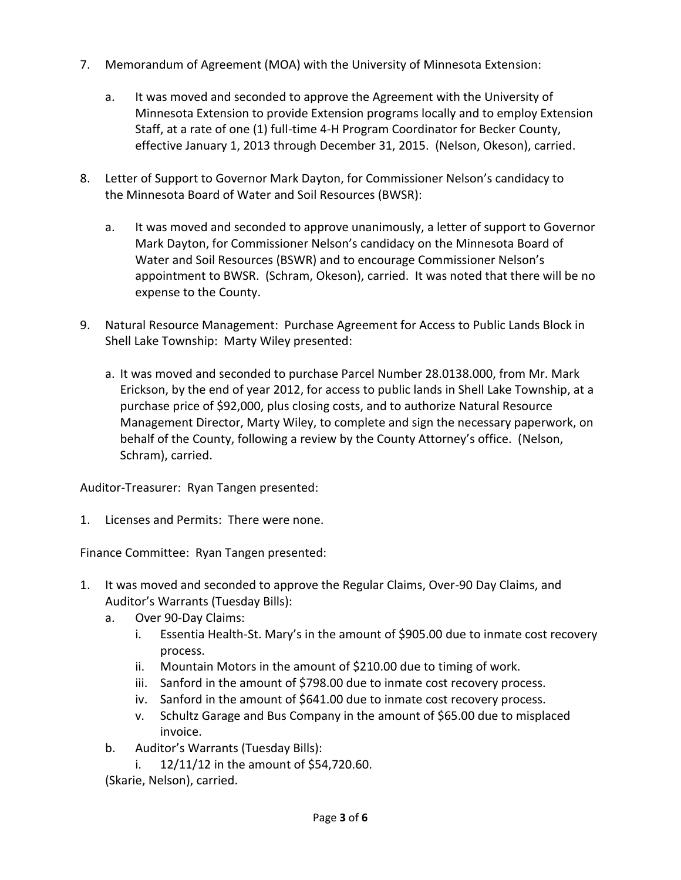- 7. Memorandum of Agreement (MOA) with the University of Minnesota Extension:
	- a. It was moved and seconded to approve the Agreement with the University of Minnesota Extension to provide Extension programs locally and to employ Extension Staff, at a rate of one (1) full-time 4-H Program Coordinator for Becker County, effective January 1, 2013 through December 31, 2015. (Nelson, Okeson), carried.
- 8. Letter of Support to Governor Mark Dayton, for Commissioner Nelson's candidacy to the Minnesota Board of Water and Soil Resources (BWSR):
	- a. It was moved and seconded to approve unanimously, a letter of support to Governor Mark Dayton, for Commissioner Nelson's candidacy on the Minnesota Board of Water and Soil Resources (BSWR) and to encourage Commissioner Nelson's appointment to BWSR. (Schram, Okeson), carried. It was noted that there will be no expense to the County.
- 9. Natural Resource Management: Purchase Agreement for Access to Public Lands Block in Shell Lake Township: Marty Wiley presented:
	- a. It was moved and seconded to purchase Parcel Number 28.0138.000, from Mr. Mark Erickson, by the end of year 2012, for access to public lands in Shell Lake Township, at a purchase price of \$92,000, plus closing costs, and to authorize Natural Resource Management Director, Marty Wiley, to complete and sign the necessary paperwork, on behalf of the County, following a review by the County Attorney's office. (Nelson, Schram), carried.

Auditor-Treasurer: Ryan Tangen presented:

1. Licenses and Permits: There were none.

Finance Committee: Ryan Tangen presented:

- 1. It was moved and seconded to approve the Regular Claims, Over-90 Day Claims, and Auditor's Warrants (Tuesday Bills):
	- a. Over 90-Day Claims:
		- i. Essentia Health-St. Mary's in the amount of \$905.00 due to inmate cost recovery process.
		- ii. Mountain Motors in the amount of \$210.00 due to timing of work.
		- iii. Sanford in the amount of \$798.00 due to inmate cost recovery process.
		- iv. Sanford in the amount of \$641.00 due to inmate cost recovery process.
		- v. Schultz Garage and Bus Company in the amount of \$65.00 due to misplaced invoice.
	- b. Auditor's Warrants (Tuesday Bills):
		- i. 12/11/12 in the amount of \$54,720.60.

(Skarie, Nelson), carried.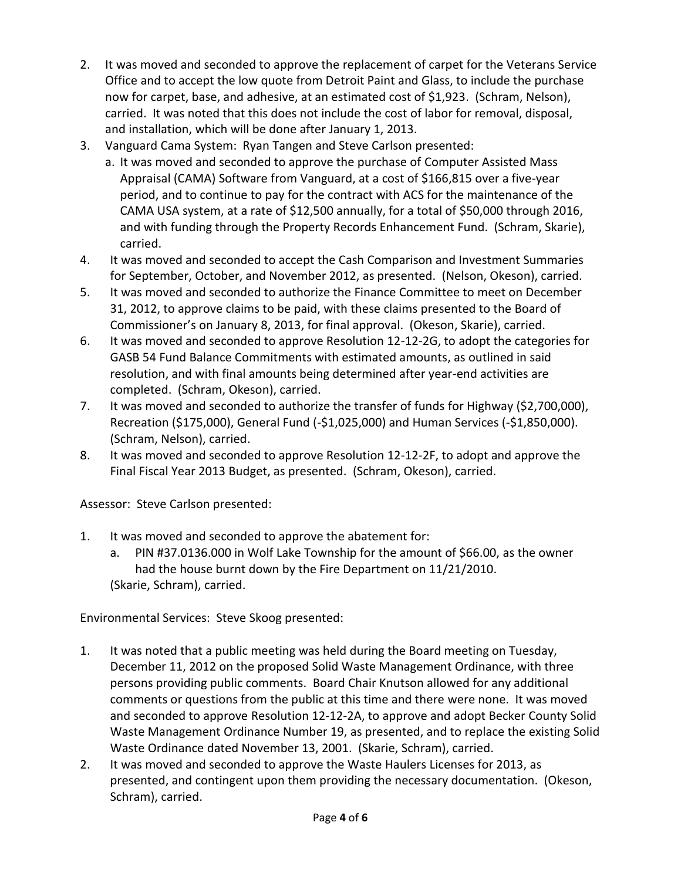- 2. It was moved and seconded to approve the replacement of carpet for the Veterans Service Office and to accept the low quote from Detroit Paint and Glass, to include the purchase now for carpet, base, and adhesive, at an estimated cost of \$1,923. (Schram, Nelson), carried. It was noted that this does not include the cost of labor for removal, disposal, and installation, which will be done after January 1, 2013.
- 3. Vanguard Cama System: Ryan Tangen and Steve Carlson presented:
	- a. It was moved and seconded to approve the purchase of Computer Assisted Mass Appraisal (CAMA) Software from Vanguard, at a cost of \$166,815 over a five-year period, and to continue to pay for the contract with ACS for the maintenance of the CAMA USA system, at a rate of \$12,500 annually, for a total of \$50,000 through 2016, and with funding through the Property Records Enhancement Fund. (Schram, Skarie), carried.
- 4. It was moved and seconded to accept the Cash Comparison and Investment Summaries for September, October, and November 2012, as presented. (Nelson, Okeson), carried.
- 5. It was moved and seconded to authorize the Finance Committee to meet on December 31, 2012, to approve claims to be paid, with these claims presented to the Board of Commissioner's on January 8, 2013, for final approval. (Okeson, Skarie), carried.
- 6. It was moved and seconded to approve Resolution 12-12-2G, to adopt the categories for GASB 54 Fund Balance Commitments with estimated amounts, as outlined in said resolution, and with final amounts being determined after year-end activities are completed. (Schram, Okeson), carried.
- 7. It was moved and seconded to authorize the transfer of funds for Highway (\$2,700,000), Recreation (\$175,000), General Fund (-\$1,025,000) and Human Services (-\$1,850,000). (Schram, Nelson), carried.
- 8. It was moved and seconded to approve Resolution 12-12-2F, to adopt and approve the Final Fiscal Year 2013 Budget, as presented. (Schram, Okeson), carried.

Assessor: Steve Carlson presented:

- 1. It was moved and seconded to approve the abatement for:
	- a. PIN #37.0136.000 in Wolf Lake Township for the amount of \$66.00, as the owner had the house burnt down by the Fire Department on 11/21/2010. (Skarie, Schram), carried.

Environmental Services: Steve Skoog presented:

- 1. It was noted that a public meeting was held during the Board meeting on Tuesday, December 11, 2012 on the proposed Solid Waste Management Ordinance, with three persons providing public comments. Board Chair Knutson allowed for any additional comments or questions from the public at this time and there were none. It was moved and seconded to approve Resolution 12-12-2A, to approve and adopt Becker County Solid Waste Management Ordinance Number 19, as presented, and to replace the existing Solid Waste Ordinance dated November 13, 2001. (Skarie, Schram), carried.
- 2. It was moved and seconded to approve the Waste Haulers Licenses for 2013, as presented, and contingent upon them providing the necessary documentation. (Okeson, Schram), carried.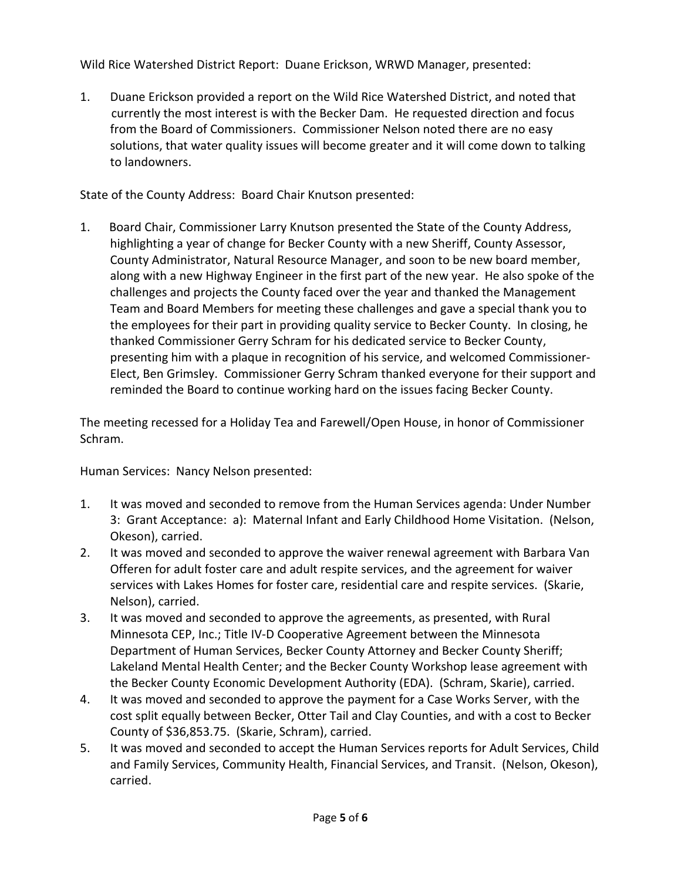Wild Rice Watershed District Report: Duane Erickson, WRWD Manager, presented:

1. Duane Erickson provided a report on the Wild Rice Watershed District, and noted that currently the most interest is with the Becker Dam. He requested direction and focus from the Board of Commissioners. Commissioner Nelson noted there are no easy solutions, that water quality issues will become greater and it will come down to talking to landowners.

State of the County Address: Board Chair Knutson presented:

1. Board Chair, Commissioner Larry Knutson presented the State of the County Address, highlighting a year of change for Becker County with a new Sheriff, County Assessor, County Administrator, Natural Resource Manager, and soon to be new board member, along with a new Highway Engineer in the first part of the new year. He also spoke of the challenges and projects the County faced over the year and thanked the Management Team and Board Members for meeting these challenges and gave a special thank you to the employees for their part in providing quality service to Becker County. In closing, he thanked Commissioner Gerry Schram for his dedicated service to Becker County, presenting him with a plaque in recognition of his service, and welcomed Commissioner-Elect, Ben Grimsley. Commissioner Gerry Schram thanked everyone for their support and reminded the Board to continue working hard on the issues facing Becker County.

The meeting recessed for a Holiday Tea and Farewell/Open House, in honor of Commissioner Schram.

Human Services: Nancy Nelson presented:

- 1. It was moved and seconded to remove from the Human Services agenda: Under Number 3: Grant Acceptance: a): Maternal Infant and Early Childhood Home Visitation. (Nelson, Okeson), carried.
- 2. It was moved and seconded to approve the waiver renewal agreement with Barbara Van Offeren for adult foster care and adult respite services, and the agreement for waiver services with Lakes Homes for foster care, residential care and respite services. (Skarie, Nelson), carried.
- 3. It was moved and seconded to approve the agreements, as presented, with Rural Minnesota CEP, Inc.; Title IV-D Cooperative Agreement between the Minnesota Department of Human Services, Becker County Attorney and Becker County Sheriff; Lakeland Mental Health Center; and the Becker County Workshop lease agreement with the Becker County Economic Development Authority (EDA). (Schram, Skarie), carried.
- 4. It was moved and seconded to approve the payment for a Case Works Server, with the cost split equally between Becker, Otter Tail and Clay Counties, and with a cost to Becker County of \$36,853.75. (Skarie, Schram), carried.
- 5. It was moved and seconded to accept the Human Services reports for Adult Services, Child and Family Services, Community Health, Financial Services, and Transit. (Nelson, Okeson), carried.